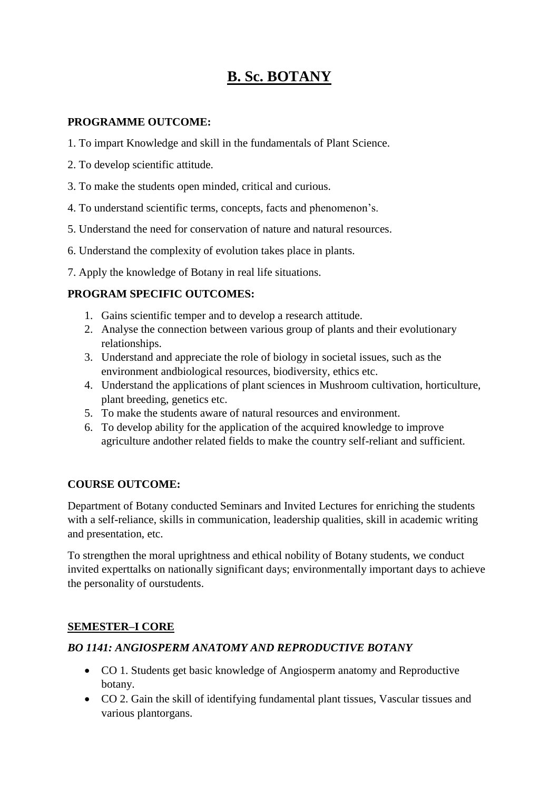# **B. Sc. BOTANY**

#### **PROGRAMME OUTCOME:**

- 1. To impart Knowledge and skill in the fundamentals of Plant Science.
- 2. To develop scientific attitude.
- 3. To make the students open minded, critical and curious.
- 4. To understand scientific terms, concepts, facts and phenomenon's.
- 5. Understand the need for conservation of nature and natural resources.
- 6. Understand the complexity of evolution takes place in plants.
- 7. Apply the knowledge of Botany in real life situations.

#### **PROGRAM SPECIFIC OUTCOMES:**

- 1. Gains scientific temper and to develop a research attitude.
- 2. Analyse the connection between various group of plants and their evolutionary relationships.
- 3. Understand and appreciate the role of biology in societal issues, such as the environment andbiological resources, biodiversity, ethics etc.
- 4. Understand the applications of plant sciences in Mushroom cultivation, horticulture, plant breeding, genetics etc.
- 5. To make the students aware of natural resources and environment.
- 6. To develop ability for the application of the acquired knowledge to improve agriculture andother related fields to make the country self-reliant and sufficient.

#### **COURSE OUTCOME:**

Department of Botany conducted Seminars and Invited Lectures for enriching the students with a self-reliance, skills in communication, leadership qualities, skill in academic writing and presentation, etc.

To strengthen the moral uprightness and ethical nobility of Botany students, we conduct invited experttalks on nationally significant days; environmentally important days to achieve the personality of ourstudents.

#### **SEMESTER–I CORE**

#### *BO 1141: ANGIOSPERM ANATOMY AND REPRODUCTIVE BOTANY*

- CO 1. Students get basic knowledge of Angiosperm anatomy and Reproductive botany.
- CO 2. Gain the skill of identifying fundamental plant tissues, Vascular tissues and various plantorgans.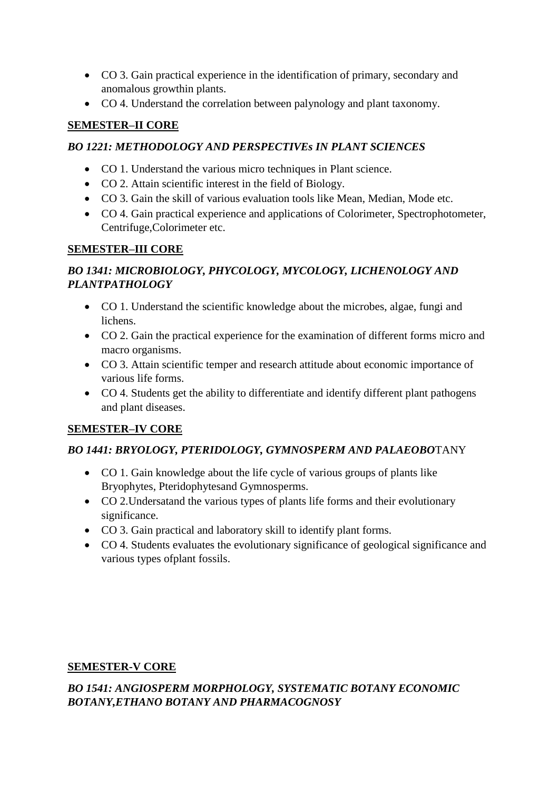- CO 3. Gain practical experience in the identification of primary, secondary and anomalous growthin plants.
- CO 4. Understand the correlation between palynology and plant taxonomy.

#### **SEMESTER–II CORE**

### *BO 1221: METHODOLOGY AND PERSPECTIVEs IN PLANT SCIENCES*

- CO 1. Understand the various micro techniques in Plant science.
- CO 2. Attain scientific interest in the field of Biology.
- CO 3. Gain the skill of various evaluation tools like Mean, Median, Mode etc.
- CO 4. Gain practical experience and applications of Colorimeter, Spectrophotometer, Centrifuge,Colorimeter etc.

### **SEMESTER–III CORE**

### *BO 1341: MICROBIOLOGY, PHYCOLOGY, MYCOLOGY, LICHENOLOGY AND PLANTPATHOLOGY*

- CO 1. Understand the scientific knowledge about the microbes, algae, fungi and lichens.
- CO 2. Gain the practical experience for the examination of different forms micro and macro organisms.
- CO 3. Attain scientific temper and research attitude about economic importance of various life forms.
- CO 4. Students get the ability to differentiate and identify different plant pathogens and plant diseases.

# **SEMESTER–IV CORE**

#### *BO 1441: BRYOLOGY, PTERIDOLOGY, GYMNOSPERM AND PALAEOBO*TANY

- CO 1. Gain knowledge about the life cycle of various groups of plants like Bryophytes, Pteridophytesand Gymnosperms.
- CO 2. Undersatand the various types of plants life forms and their evolutionary significance.
- CO 3. Gain practical and laboratory skill to identify plant forms.
- CO 4. Students evaluates the evolutionary significance of geological significance and various types ofplant fossils.

# **SEMESTER-V CORE**

### *BO 1541: ANGIOSPERM MORPHOLOGY, SYSTEMATIC BOTANY ECONOMIC BOTANY,ETHANO BOTANY AND PHARMACOGNOSY*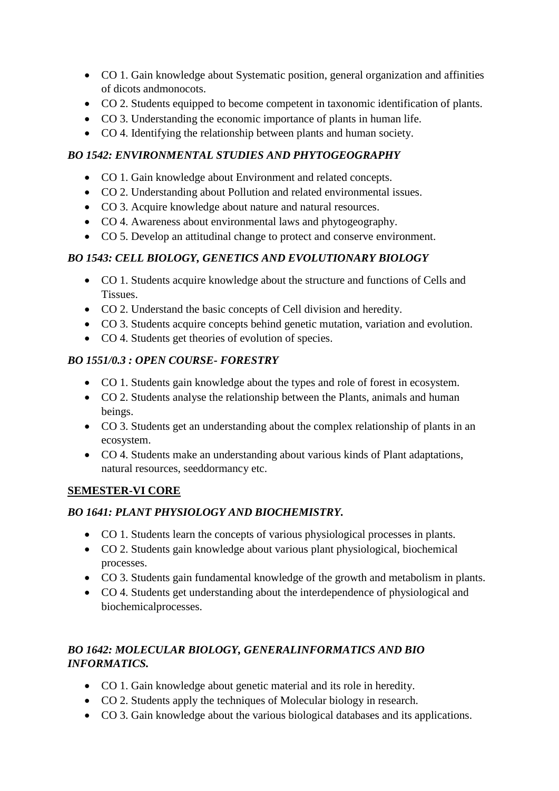- CO 1. Gain knowledge about Systematic position, general organization and affinities of dicots andmonocots.
- CO 2. Students equipped to become competent in taxonomic identification of plants.
- CO 3. Understanding the economic importance of plants in human life.
- CO 4. Identifying the relationship between plants and human society.

# *BO 1542: ENVIRONMENTAL STUDIES AND PHYTOGEOGRAPHY*

- CO 1. Gain knowledge about Environment and related concepts.
- CO 2. Understanding about Pollution and related environmental issues.
- CO 3. Acquire knowledge about nature and natural resources.
- CO 4. Awareness about environmental laws and phytogeography.
- CO 5. Develop an attitudinal change to protect and conserve environment.

# *BO 1543: CELL BIOLOGY, GENETICS AND EVOLUTIONARY BIOLOGY*

- CO 1. Students acquire knowledge about the structure and functions of Cells and Tissues.
- CO 2. Understand the basic concepts of Cell division and heredity.
- CO 3. Students acquire concepts behind genetic mutation, variation and evolution.
- CO 4. Students get theories of evolution of species.

# *BO 1551/0.3 : OPEN COURSE- FORESTRY*

- CO 1. Students gain knowledge about the types and role of forest in ecosystem.
- CO 2. Students analyse the relationship between the Plants, animals and human beings.
- CO 3. Students get an understanding about the complex relationship of plants in an ecosystem.
- CO 4. Students make an understanding about various kinds of Plant adaptations, natural resources, seeddormancy etc.

#### **SEMESTER-VI CORE**

# *BO 1641: PLANT PHYSIOLOGY AND BIOCHEMISTRY.*

- CO 1. Students learn the concepts of various physiological processes in plants.
- CO 2. Students gain knowledge about various plant physiological, biochemical processes.
- CO 3. Students gain fundamental knowledge of the growth and metabolism in plants.
- CO 4. Students get understanding about the interdependence of physiological and biochemicalprocesses.

# *BO 1642: MOLECULAR BIOLOGY, GENERALINFORMATICS AND BIO INFORMATICS.*

- CO 1. Gain knowledge about genetic material and its role in heredity.
- CO 2. Students apply the techniques of Molecular biology in research.
- CO 3. Gain knowledge about the various biological databases and its applications.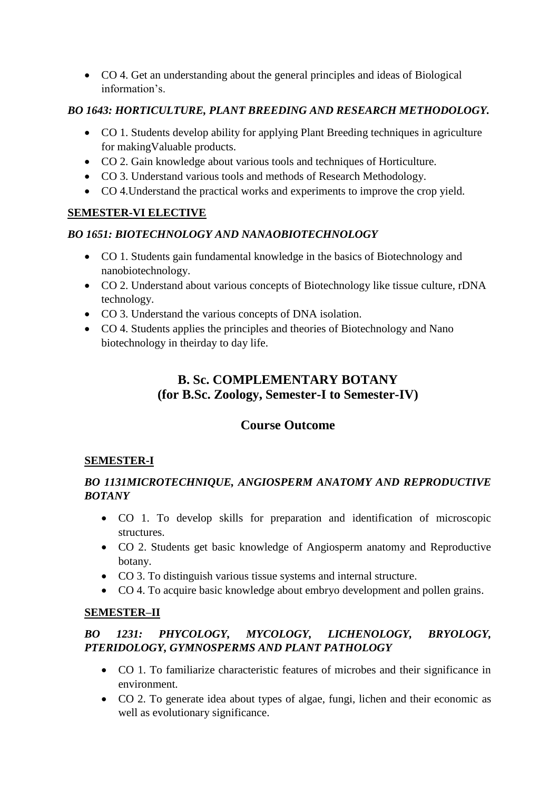CO 4. Get an understanding about the general principles and ideas of Biological information's.

### *BO 1643: HORTICULTURE, PLANT BREEDING AND RESEARCH METHODOLOGY.*

- CO 1. Students develop ability for applying Plant Breeding techniques in agriculture for makingValuable products.
- CO 2. Gain knowledge about various tools and techniques of Horticulture.
- CO 3. Understand various tools and methods of Research Methodology.
- CO 4.Understand the practical works and experiments to improve the crop yield.

### **SEMESTER-VI ELECTIVE**

#### *BO 1651: BIOTECHNOLOGY AND NANAOBIOTECHNOLOGY*

- CO 1. Students gain fundamental knowledge in the basics of Biotechnology and nanobiotechnology.
- CO 2. Understand about various concepts of Biotechnology like tissue culture, rDNA technology.
- CO 3. Understand the various concepts of DNA isolation.
- CO 4. Students applies the principles and theories of Biotechnology and Nano biotechnology in theirday to day life.

# **B. Sc. COMPLEMENTARY BOTANY (for B.Sc. Zoology, Semester-I to Semester-IV)**

# **Course Outcome**

#### **SEMESTER-I**

### *BO 1131MICROTECHNIQUE, ANGIOSPERM ANATOMY AND REPRODUCTIVE BOTANY*

- CO 1. To develop skills for preparation and identification of microscopic structures.
- CO 2. Students get basic knowledge of Angiosperm anatomy and Reproductive botany.
- CO 3. To distinguish various tissue systems and internal structure.
- CO 4. To acquire basic knowledge about embryo development and pollen grains.

#### **SEMESTER–II**

### *BO 1231: PHYCOLOGY, MYCOLOGY, LICHENOLOGY, BRYOLOGY, PTERIDOLOGY, GYMNOSPERMS AND PLANT PATHOLOGY*

- CO 1. To familiarize characteristic features of microbes and their significance in environment.
- CO 2. To generate idea about types of algae, fungi, lichen and their economic as well as evolutionary significance.